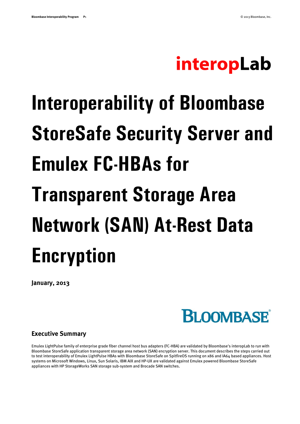# interopLab

# **Interoperability of Bloombase StoreSafe Security Server and Emulex FC-HBAs for Transparent Storage Area Network (SAN) At-Rest Data Encryption**

**January, 2013**

**BLOOMBASE**®

#### **Executive Summary**

Emulex LightPulse family of enterprise grade fiber channel host bus adapters (FC-HBA) are validated by Bloombase's interopLab to run with Bloombase StoreSafe application transparent storage area network (SAN) encryption server. This document describes the steps carried out to test interoperability of Emulex LightPulse HBAs with Bloombase StoreSafe on SpitfireOS running on x86 and IA64 based appliances. Host systems on Microsoft Windows, Linux, Sun Solaris, IBM AIX and HP-UX are validated against Emulex powered Bloombase StoreSafe appliances with HP StorageWorks SAN storage sub-system and Brocade SAN switches.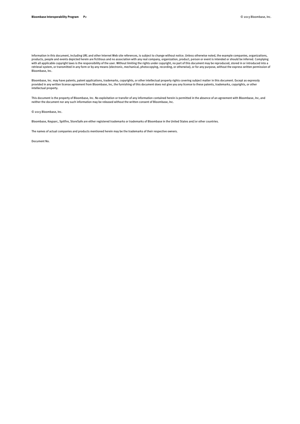Information in this document, including URL and other Internet Web site references, is subject to change without notice. Unless otherwise noted, the example companies, organizations, products, people and events depicted herein are fictitious and no association with any real company, organization, product, person or event is intended or should be inferred. Complying with all applicable copyright laws is the responsibility of the user. Without limiting the rights under copyright, no part of this document may be reproduced, stored in or introduced into a retrieval system, or transmitted in any form or by any means (electronic, mechanical, photocopying, recording, or otherwise), or for any purpose, without the express written permission of Bloombase, Inc.

Bloombase, Inc. may have patents, patent applications, trademarks, copyrights, or other intellectual property rights covering subject matter in this document. Except as expressly provided in any written license agreement from Bloombase, Inc, the furnishing of this document does not give you any license to these patents, trademarks, copyrights, or other intellectual property.

This document is the property of Bloombase, Inc. No exploitation or transfer of any information contained herein is permitted in the absence of an agreement with Bloombase, Inc, and<br>neither the document nor any such inform

© 2013 Bloombase, Inc.

Bloombase, Keyparc, Spitfire, StoreSafe are either registered trademarks or trademarks of Bloombase in the United States and/or other countries.

The names of actual companies and products mentioned herein may be the trademarks of their respective owners.

Document No.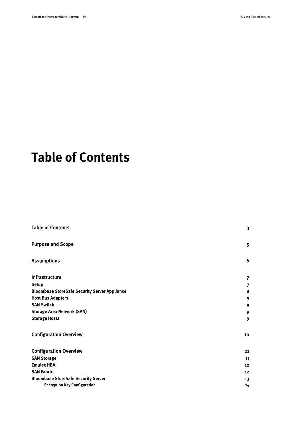# <span id="page-2-0"></span>**Table of Contents**

| <b>Table of Contents</b>                             | $\overline{\mathbf{3}}$ |
|------------------------------------------------------|-------------------------|
| <b>Purpose and Scope</b>                             | 5                       |
| <b>Assumptions</b>                                   | 6                       |
| Infrastructure                                       | $\overline{7}$          |
| <b>Setup</b>                                         | $\overline{7}$          |
| <b>Bloombase StoreSafe Security Server Appliance</b> | 8                       |
| <b>Host Bus Adapters</b>                             | 9                       |
| <b>SAN Switch</b>                                    | 9                       |
| <b>Storage Area Network (SAN)</b>                    | 9                       |
| <b>Storage Hosts</b>                                 | $\mathbf{9}$            |
| <b>Configuration Overview</b>                        | 10                      |
| <b>Configuration Overview</b>                        | 11                      |
| <b>SAN Storage</b>                                   | 11                      |
| <b>Emulex HBA</b>                                    | 12                      |
| <b>SAN Fabric</b>                                    | 12                      |
| <b>Bloombase StoreSafe Security Server</b>           | 13                      |
| <b>Encryption Key Configuration</b>                  | 14                      |
|                                                      |                         |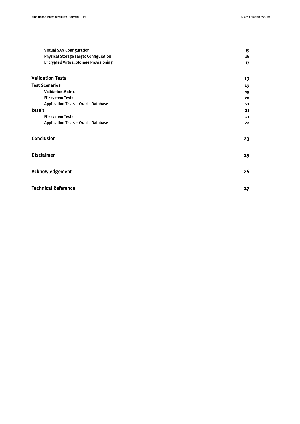| <b>Virtual SAN Configuration</b>              | 15 |
|-----------------------------------------------|----|
| <b>Physical Storage Target Configuration</b>  | 16 |
| <b>Encrypted Virtual Storage Provisioning</b> | 17 |
| <b>Validation Tests</b>                       | 19 |
| <b>Test Scenarios</b>                         | 19 |
| <b>Validation Matrix</b>                      | 19 |
| <b>Filesystem Tests</b>                       | 20 |
| <b>Application Tests - Oracle Database</b>    | 21 |
| Result                                        | 21 |
| <b>Filesystem Tests</b>                       | 21 |
| <b>Application Tests - Oracle Database</b>    | 22 |
| Conclusion                                    | 23 |
| <b>Disclaimer</b>                             | 25 |
| Acknowledgement                               | 26 |
| <b>Technical Reference</b>                    | 27 |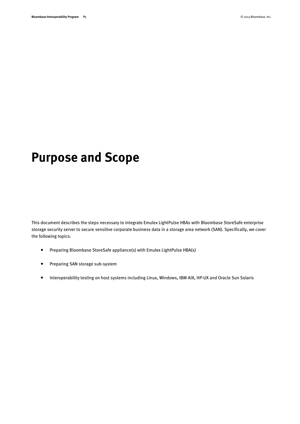# <span id="page-4-0"></span>**Purpose and Scope**

This document describes the steps necessary to integrate Emulex LightPulse HBAs with Bloombase StoreSafe enterprise storage security server to secure sensitive corporate business data in a storage area network (SAN). Specifically, we cover the following topics:

- Preparing Bloombase StoreSafe appliance(s) with Emulex LightPulse HBA(s)
- Preparing SAN storage sub-system
- Interoperability testing on host systems including Linux, Windows, IBM AIX, HP-UX and Oracle Sun Solaris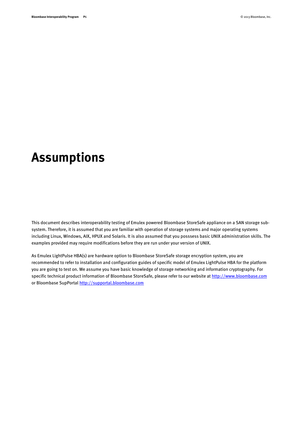# <span id="page-5-0"></span>**Assumptions**

This document describes interoperability testing of Emulex powered Bloombase StoreSafe appliance on a SAN storage subsystem. Therefore, it is assumed that you are familiar with operation of storage systems and major operating systems including Linux, Windows, AIX, HPUX and Solaris. It is also assumed that you posssess basic UNIX administration skills. The examples provided may require modifications before they are run under your version of UNIX.

As Emulex LightPulse HBA(s) are hardware option to Bloombase StoreSafe storage encryption system, you are recommended to refer to installation and configuration guides of specific model of Emulex LightPulse HBA for the platform you are going to test on. We assume you have basic knowledge of storage networking and information cryptography. For specific technical product information of Bloombase StoreSafe, please refer to our website a[t http://www.bloombase.com](http://www.bloombase.com/) or Bloombase SupPorta[l http://supportal.bloombase.com](http://supportal.bloombase.com/)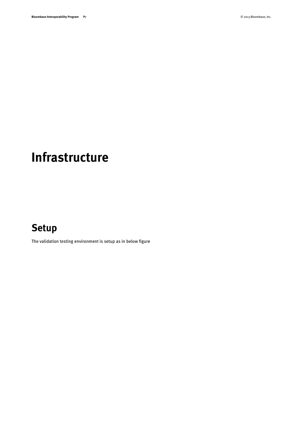# <span id="page-6-0"></span>**Infrastructure**

## <span id="page-6-1"></span>**Setup**

The validation testing environment is setup as in below figure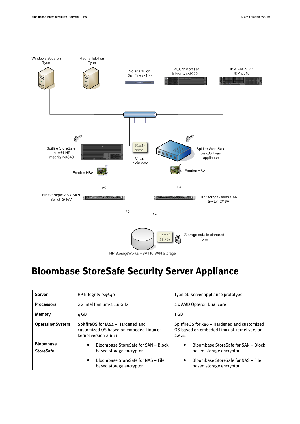

HP StorageWorks HSV110 SAN Storage

# <span id="page-7-0"></span>**Bloombase StoreSafe Security Server Appliance**

| <b>Server</b>                        | HP Integrity rx4640                                                                                                            | Tyan 2U server appliance prototype                                                                                |  |  |  |
|--------------------------------------|--------------------------------------------------------------------------------------------------------------------------------|-------------------------------------------------------------------------------------------------------------------|--|--|--|
| <b>Processors</b>                    | 2 x Intel Itanium-2 1.6 GHz                                                                                                    | 2 x AMD Opteron Dual core                                                                                         |  |  |  |
| <b>Memory</b>                        | 4 GB                                                                                                                           | 1 GB                                                                                                              |  |  |  |
| <b>Operating System</b>              | SpitfireOS for IA64 - Hardened and<br>customized OS based on embeded Linux of<br>kernel version 2.6.11                         | SpitfireOS for x86 - Hardened and customized<br>OS based on embeded Linux of kernel version<br>2.6.11             |  |  |  |
| <b>Bloombase</b><br><b>StoreSafe</b> | Bloombase StoreSafe for SAN - Block<br>$\bullet$<br>based storage encryptor<br>Bloombase StoreSafe for NAS - File<br>$\bullet$ | Bloombase StoreSafe for SAN - Block<br>$\bullet$<br>based storage encryptor<br>Bloombase StoreSafe for NAS - File |  |  |  |
|                                      | based storage encryptor                                                                                                        | based storage encryptor                                                                                           |  |  |  |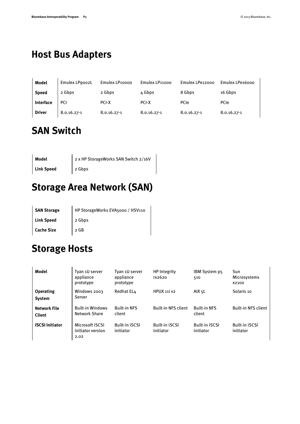# <span id="page-8-0"></span>**Host Bus Adapters**

| Model         | Emulex LP9002L | Emulex LP10000  | Emulex LP11000  | Emulex LPe12000 | Emulex LPe16000 |
|---------------|----------------|-----------------|-----------------|-----------------|-----------------|
| <b>Speed</b>  | 2 Gbps         | 2 Gbps          | 4 Gbps          | 8 Gbps          | 16 Gbps         |
| Interface     | <b>PCI</b>     | <b>PCI-X</b>    | <b>PCI-X</b>    | PCIe            | PCIe            |
| <b>Driver</b> | 8.0.16.27-1    | $8.0.16.27 - 1$ | $8.0.16.27 - 1$ | $8.0.16.27 - 1$ | 8.0.16.27-1     |

# <span id="page-8-1"></span>**SAN Switch**

| Model             | 2 x HP StorageWorks SAN Switch 2/16V |
|-------------------|--------------------------------------|
| <b>Link Speed</b> | 2 Gbps                               |

# <span id="page-8-2"></span>**Storage Area Network (SAN)**

| <b>SAN Storage</b> | HP StorageWorks EVA5000 / HSV110 |
|--------------------|----------------------------------|
| <b>Link Speed</b>  | 2 Gbps                           |
| <b>Cache Size</b>  | $2$ GB                           |

# <span id="page-8-3"></span>**Storage Hosts**

| Model                                | Tyan 1U server<br>appliance<br>prototype            | Tyan 1U server<br>appliance<br>prototype | <b>HP</b> Integrity<br>rx2620      | IBM System p5<br>510               | Sun<br>Microsystems<br>X2100       |
|--------------------------------------|-----------------------------------------------------|------------------------------------------|------------------------------------|------------------------------------|------------------------------------|
| <b>Operating</b><br>System           | Windows 2003<br>Server                              | Redhat EL4                               | HPUX 11i v2                        | AIX 5L                             | Solaris 10                         |
| <b>Network File</b><br><b>Client</b> | <b>Built-in Windows</b><br><b>Network Share</b>     | <b>Built-in NFS</b><br>client            | <b>Built-in NFS client</b>         | <b>Built-in NFS</b><br>client      | <b>Built-in NFS client</b>         |
| <b>ISCSI Initiator</b>               | Microsoft <b>iSCSI</b><br>initiator version<br>2.02 | <b>Built-in iSCSI</b><br>initiator       | <b>Built-in iSCSI</b><br>initiator | <b>Built-in iSCSI</b><br>initiator | <b>Built-in iSCSI</b><br>initiator |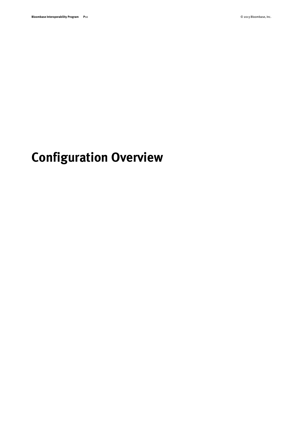# <span id="page-9-0"></span>**Configuration Overview**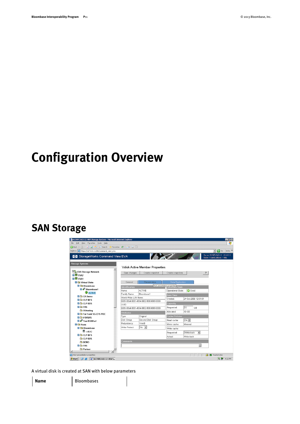# <span id="page-10-0"></span>**Configuration Overview**

### <span id="page-10-1"></span>**SAN Storage**



A virtual disk is created at SAN with below parameters

Name Bloombase1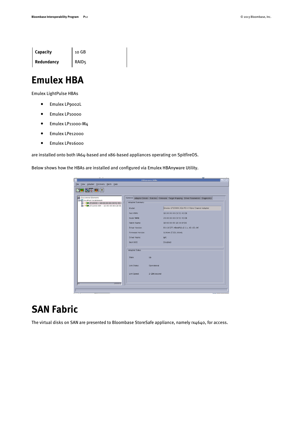| Capacity   | 10 GB             |
|------------|-------------------|
| Redundancy | RAID <sub>5</sub> |

### <span id="page-11-0"></span>**Emulex HBA**

Emulex LightPulse HBAs

- Emulex LP9002L
- Emulex LP10000
- Emulex LP11000-M4
- Emulex LPe12000
- Emulex LPe16000

are installed onto both IA64-based and x86-based appliances operating on SpitfireOS.

Below shows how the HBAs are installed and configured via Emulex HBAnyware Utility.

| v                                                                                                                         | <b>HBAnyware Utility</b>                                                                                                                                                                                                                    | $\Box$ e x                                                                                                                                                                                                                                                                                                            |
|---------------------------------------------------------------------------------------------------------------------------|---------------------------------------------------------------------------------------------------------------------------------------------------------------------------------------------------------------------------------------------|-----------------------------------------------------------------------------------------------------------------------------------------------------------------------------------------------------------------------------------------------------------------------------------------------------------------------|
| File View Adapter Discovery Batch Help                                                                                    |                                                                                                                                                                                                                                             |                                                                                                                                                                                                                                                                                                                       |
| 開司<br><b>AP</b><br>$  \mathcal{P}  $                                                                                      |                                                                                                                                                                                                                                             |                                                                                                                                                                                                                                                                                                                       |
| Discovered Elements<br>■ 口 localhost.localdomain<br>P10000 - 10:00:00:00:C9:52:43:L<br>20 LP11000-M4 - 10:00:00:00:C9:56: | Adapter Summary<br>Model:<br>Port WWN:<br>Node WWN:<br>Fabric Name:<br>Driver Version:<br>Firmware Version:<br>Driver Name:<br>Boot BIOS:<br>Adapter Status-<br>Up<br>State:<br>Link Status:<br>Operational<br>Link Speed:<br>2 GBit/second | General Adapter Details Statistics Firmware Target Mapping Driver Parameters Diagnostics<br>Emulex LP10000 2Gb PCI-X Fibre Channel Adapter<br>10:00:00:00:C9:52:43:DB<br>20:00:00:00:C9:52:43:DB<br>10:00:00:05:1E:34:9F:D6<br>8.0.16.27; HBAAPI(I) v2.1.c, 02-02-06<br>1.90A4 (T2D1.90A4)<br>Ipfc<br><b>Disabled</b> |
|                                                                                                                           |                                                                                                                                                                                                                                             |                                                                                                                                                                                                                                                                                                                       |
|                                                                                                                           |                                                                                                                                                                                                                                             |                                                                                                                                                                                                                                                                                                                       |

# <span id="page-11-1"></span>**SAN Fabric**

The virtual disks on SAN are presented to Bloombase StoreSafe appliance, namely rx4640, for access.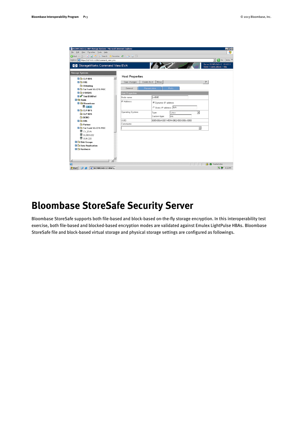| D239FK34D112: HSV Storage System - Microsoft Internet Explorer<br>Eile Edit View Favorites Tools Help |                        |                                         | $\Box$ $\Box$ $\times$<br>41                                                                                                                                                                                                                                                                                                                                                                                                                                                                           |
|-------------------------------------------------------------------------------------------------------|------------------------|-----------------------------------------|--------------------------------------------------------------------------------------------------------------------------------------------------------------------------------------------------------------------------------------------------------------------------------------------------------------------------------------------------------------------------------------------------------------------------------------------------------------------------------------------------------|
| ● Back • ◎ • 図 図 合 P Search ☆ Favorites ● ② - ③ □                                                     |                        |                                         |                                                                                                                                                                                                                                                                                                                                                                                                                                                                                                        |
| Address e https://127.0.0.1:2381/command view eva                                                     |                        |                                         | $\overline{\phantom{a}}$ $\overline{\phantom{a}}$ $\overline{\phantom{a}}$ $\overline{\phantom{a}}$ $\overline{\phantom{a}}$ $\overline{\phantom{a}}$ $\overline{\phantom{a}}$ $\overline{\phantom{a}}$ $\overline{\phantom{a}}$ $\overline{\phantom{a}}$ $\overline{\phantom{a}}$ $\overline{\phantom{a}}$ $\overline{\phantom{a}}$ $\overline{\phantom{a}}$ $\overline{\phantom{a}}$ $\overline{\phantom{a}}$ $\overline{\phantom{a}}$ $\overline{\phantom{a}}$ $\overline{\$<br>Links <sup>33</sup> |
|                                                                                                       |                        |                                         | Server: D239FK34D112 10.10.3.3                                                                                                                                                                                                                                                                                                                                                                                                                                                                         |
| StorageWorks Command View EVA                                                                         |                        | $\mathcal{L}$                           | Home   Agent Options   Help                                                                                                                                                                                                                                                                                                                                                                                                                                                                            |
| <b>Storage Systems</b>                                                                                |                        |                                         |                                                                                                                                                                                                                                                                                                                                                                                                                                                                                                        |
| <b>B CLP EBS</b>                                                                                      | <b>Host Properties</b> |                                         |                                                                                                                                                                                                                                                                                                                                                                                                                                                                                                        |
| <b>EI G</b> FRS                                                                                       | Save changes           | Move<br>Delete host                     | $\overline{?}$                                                                                                                                                                                                                                                                                                                                                                                                                                                                                         |
| <b>Co</b> OUtesting                                                                                   |                        |                                         |                                                                                                                                                                                                                                                                                                                                                                                                                                                                                                        |
| <b>EL Co</b> Tai Fook SG-CFS POC                                                                      | General                | <b>Presentation</b><br>Ports            |                                                                                                                                                                                                                                                                                                                                                                                                                                                                                                        |
| <b>DE V DISKS</b>                                                                                     | <b>Host Properties</b> |                                         |                                                                                                                                                                                                                                                                                                                                                                                                                                                                                                        |
| <b>D</b> <sup>P</sup> Test EVAPerf                                                                    | Node name:             | rx4640                                  |                                                                                                                                                                                                                                                                                                                                                                                                                                                                                                        |
| $\blacksquare$ $\ominus$ Hosts                                                                        | IP Address:            | C Dynamic IP address                    |                                                                                                                                                                                                                                                                                                                                                                                                                                                                                                        |
| <b>E</b> Bloombase<br>$\blacksquare$ rx4640                                                           |                        |                                         |                                                                                                                                                                                                                                                                                                                                                                                                                                                                                                        |
| <b>DIGICLP BFS</b>                                                                                    |                        | C Static IP address: N/A                |                                                                                                                                                                                                                                                                                                                                                                                                                                                                                                        |
| <b>CLP EBS</b>                                                                                        | Operating System:      | Linux<br>Type:                          | $\overline{\phantom{a}}$                                                                                                                                                                                                                                                                                                                                                                                                                                                                               |
| <b>DEMO</b>                                                                                           |                        | n/a<br>Custom type:                     |                                                                                                                                                                                                                                                                                                                                                                                                                                                                                                        |
| <b>EIGHT FRS</b>                                                                                      | UUID:                  | 6005-08b4-0001-4594-0002-1000-088c-0000 |                                                                                                                                                                                                                                                                                                                                                                                                                                                                                                        |
| <b>Partner</b>                                                                                        | Comments:              |                                         |                                                                                                                                                                                                                                                                                                                                                                                                                                                                                                        |
| <b>El Co</b> Tai Fook SG-CFS POC                                                                      |                        |                                         | $\frac{1}{2}$                                                                                                                                                                                                                                                                                                                                                                                                                                                                                          |
| <sup>图</sup> CV_EVA                                                                                   |                        |                                         |                                                                                                                                                                                                                                                                                                                                                                                                                                                                                                        |
| <b>■ DL380G202</b>                                                                                    |                        |                                         |                                                                                                                                                                                                                                                                                                                                                                                                                                                                                                        |
| <b>图 SUN 220</b>                                                                                      |                        |                                         |                                                                                                                                                                                                                                                                                                                                                                                                                                                                                                        |
| <b>Disk Groups</b>                                                                                    |                        |                                         |                                                                                                                                                                                                                                                                                                                                                                                                                                                                                                        |
| <b>Data Replication</b>                                                                               |                        |                                         |                                                                                                                                                                                                                                                                                                                                                                                                                                                                                                        |
| <b>B</b> C Hardware                                                                                   |                        |                                         |                                                                                                                                                                                                                                                                                                                                                                                                                                                                                                        |
|                                                                                                       |                        |                                         |                                                                                                                                                                                                                                                                                                                                                                                                                                                                                                        |
|                                                                                                       |                        |                                         |                                                                                                                                                                                                                                                                                                                                                                                                                                                                                                        |
| $\left  \cdot \right $                                                                                |                        |                                         |                                                                                                                                                                                                                                                                                                                                                                                                                                                                                                        |
| æ٦                                                                                                    |                        |                                         | <b>A</b> Trusted sites                                                                                                                                                                                                                                                                                                                                                                                                                                                                                 |
| Start   3 8   D239FK34D112: H5V 5                                                                     |                        |                                         | <b>名牌 4:03 PM</b>                                                                                                                                                                                                                                                                                                                                                                                                                                                                                      |

## <span id="page-12-0"></span>**Bloombase StoreSafe Security Server**

Bloombase StoreSafe supports both file-based and block-based on-the-fly storage encryption. In this interoperability test exercise, both file-based and blocked-based encryption modes are validated against Emulex LightPulse HBAs. Bloombase StoreSafe file and block-based virtual storage and physical storage settings are configured as followings.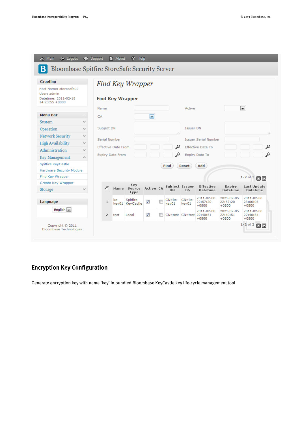| <b>E</b> Logout<br>Main<br>⋒                                                    |              | $\bullet$ Support |                                              | <b>About</b>               | $P$ Help                      |                         |                           |                      |                      |                                                   |                                   |                                   |
|---------------------------------------------------------------------------------|--------------|-------------------|----------------------------------------------|----------------------------|-------------------------------|-------------------------|---------------------------|----------------------|----------------------|---------------------------------------------------|-----------------------------------|-----------------------------------|
| <b>Bloombase Spitfire StoreSafe Security Server</b>                             |              |                   |                                              |                            |                               |                         |                           |                      |                      |                                                   |                                   |                                   |
| <b>Greeting</b><br>Find Key Wrapper                                             |              |                   |                                              |                            |                               |                         |                           |                      |                      |                                                   |                                   |                                   |
| Host Name: storesafe02<br>User: admin<br>Datetime: 2011-02-18<br>14:23:55 +0800 |              |                   | <b>Find Key Wrapper</b>                      |                            |                               |                         |                           |                      |                      |                                                   |                                   |                                   |
|                                                                                 |              | Name              |                                              |                            |                               |                         |                           |                      | Active               |                                                   |                                   | $\overline{\phantom{0}}$          |
| <b>Menu Bar</b>                                                                 |              | CA                |                                              |                            |                               | $\blacksquare$          |                           |                      |                      |                                                   |                                   |                                   |
| System                                                                          | v            |                   |                                              |                            |                               |                         |                           |                      |                      |                                                   |                                   |                                   |
| Operation                                                                       | $\checkmark$ |                   | Subject DN                                   |                            |                               |                         |                           |                      | <b>Issuer DN</b>     |                                                   |                                   |                                   |
| <b>Network Security</b>                                                         | v            |                   | 1,                                           |                            |                               |                         |                           |                      |                      |                                                   |                                   |                                   |
| <b>High Availability</b>                                                        | $\checkmark$ |                   | Serial Number<br><b>Issuer Serial Number</b> |                            |                               |                         |                           |                      |                      |                                                   |                                   |                                   |
| Administration                                                                  | $\checkmark$ |                   |                                              | <b>Effective Date From</b> |                               |                         |                           | ₽                    |                      | <b>Effective Date To</b>                          |                                   | ₽                                 |
| Key Management                                                                  | Α            |                   |                                              | <b>Expiry Date From</b>    |                               |                         |                           | ₽                    |                      | Expiry Date To                                    |                                   | ₽                                 |
| Spitfire KeyCastle                                                              |              |                   |                                              |                            |                               |                         |                           | Find                 | Reset                | Add                                               |                                   |                                   |
| Hardware Security Module                                                        |              |                   |                                              |                            |                               |                         |                           |                      |                      |                                                   |                                   |                                   |
| Find Key Wrapper                                                                |              |                   |                                              |                            |                               |                         |                           |                      |                      |                                                   |                                   | $1-2$ of 2<br>00                  |
| Create Key Wrapper                                                              |              |                   |                                              |                            | Key                           |                         |                           | Subject Issuer       |                      | <b>Effective</b>                                  | <b>Expiry</b>                     | Last Update                       |
| Storage                                                                         | v            |                   | ₽                                            |                            | Name Source Active CA<br>Type |                         |                           | DN                   | DN                   | Datetime                                          | <b>Datetime</b>                   | <b>Datetime</b>                   |
| Language                                                                        |              |                   | $\mathbf{1}$                                 | kc-                        | Spitfire<br>key01 KeyCastle   | √                       | $\overline{\mathbb{R}^n}$ | $CN = kc -$<br>key01 | $CN = kc -$<br>key01 | 2011-02-08<br>22:57:20<br>$+0800$                 | 2021-02-05<br>22:57:20<br>$+0800$ | 2011-02-08<br>23:06:05<br>$+0800$ |
| English $\vert \bullet \vert$                                                   |              |                   | $\overline{2}$                               | test                       | Local                         | $\overline{\mathbf{v}}$ |                           |                      |                      | 2011-02-08<br>CN=test CN=test 22:40:51<br>$+0800$ | 2021-02-05<br>22:40:51<br>$+0800$ | 2011-02-08<br>22:40:54<br>$+0800$ |
| Copyright © 2011<br>Bloombase Technologies                                      |              |                   |                                              |                            |                               |                         |                           |                      |                      |                                                   |                                   | $1-2$ of 2 $\Box$                 |

#### <span id="page-13-0"></span>Encryption Key Configuration

Generate encryption key with name 'key' in bundled Bloombase KeyCastle key life-cycle management tool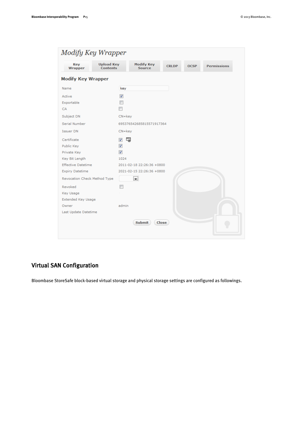| Modify Key Wrapper           |                                      |                                    |                             |  |                    |
|------------------------------|--------------------------------------|------------------------------------|-----------------------------|--|--------------------|
| Key<br>Wrapper               | <b>Upload Key</b><br><b>Contents</b> | <b>Modify Key</b><br><b>Source</b> | <b>CRLDP</b><br><b>OCSP</b> |  | <b>Permissions</b> |
| <b>Modify Key Wrapper</b>    |                                      |                                    |                             |  |                    |
| Name                         | key                                  |                                    |                             |  |                    |
| Active                       | $\overline{\mathbf{v}}$              |                                    |                             |  |                    |
| Exportable                   | П                                    |                                    |                             |  |                    |
| CA                           | m                                    |                                    |                             |  |                    |
| Subject DN                   | $CN = key$                           |                                    |                             |  |                    |
| Serial Number                |                                      | 695376542685815571917364           |                             |  |                    |
| Issuer DN                    | $CN = key$                           |                                    |                             |  |                    |
| Certificate                  | √                                    | 屬                                  |                             |  |                    |
| Public Key                   | ⊽                                    |                                    |                             |  |                    |
| Private Key                  | $\overline{\mathbf{v}}$              |                                    |                             |  |                    |
| Key Bit Length               | 1024                                 |                                    |                             |  |                    |
| <b>Effective Datetime</b>    |                                      | 2011-02-18 22:26:36 +0800          |                             |  |                    |
| <b>Expiry Datetime</b>       |                                      | 2021-02-15 22:26:36 +0800          |                             |  |                    |
| Revocation Check Method Type |                                      | $\blacksquare$                     |                             |  |                    |
| Revoked                      |                                      |                                    |                             |  |                    |
| Key Usage                    |                                      |                                    |                             |  |                    |
| Extended Key Usage           |                                      |                                    |                             |  |                    |
| Owner                        | admin                                |                                    |                             |  |                    |
| Last Update Datetime         |                                      |                                    |                             |  |                    |
|                              |                                      | <b>Submit</b>                      | Close                       |  |                    |

#### <span id="page-14-0"></span>Virtual SAN Configuration

Bloombase StoreSafe block-based virtual storage and physical storage settings are configured as followings.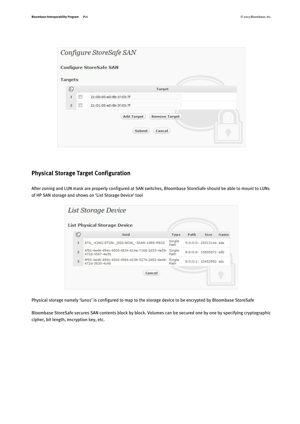| Configure StoreSafe SAN |                |                          |                                                                      |  |  |
|-------------------------|----------------|--------------------------|----------------------------------------------------------------------|--|--|
|                         |                |                          | <b>Configure StoreSafe SAN</b>                                       |  |  |
|                         | <b>Targets</b> |                          |                                                                      |  |  |
|                         | ⊕              |                          | Target                                                               |  |  |
|                         | $\mathbf{1}$   | $\Box$                   | 21:00:00:e0:8b:1f:03:7f                                              |  |  |
|                         | $\overline{2}$ | $\overline{\phantom{a}}$ | 21:01:00:e0:8b:3f:03:7f                                              |  |  |
|                         |                |                          | <b>Add Target</b><br><b>Remove Target</b><br><b>Submit</b><br>Cancel |  |  |

#### <span id="page-15-0"></span>Physical Storage Target Configuration

After zoning and LUN mask are properly configured at SAN switches, Bloombase StoreSafe should be able to mount to LUNs of HP SAN storage and shows on 'List Storage Device' tool

| List Storage Device                 |                |                                                                 |                |      |                        |      |  |  |
|-------------------------------------|----------------|-----------------------------------------------------------------|----------------|------|------------------------|------|--|--|
| <b>List Physical Storage Device</b> |                |                                                                 |                |      |                        |      |  |  |
|                                     | ⊕              | Uuid                                                            | Type           | Path | <b>Size</b>            | Name |  |  |
|                                     | $\mathbf{1}$   | ATA_-KING-STON-_SSD-NOW_-30AM-10B5-M83Z                         | Single<br>Path |      | 5:0:0:0: 29313144 sda  |      |  |  |
|                                     | $\overline{2}$ | 4f50-4e46-494c-4500-6834-614a-7168-2d33-4e59-<br>472d-4567-4e36 | Single<br>Path |      | $8:0:0:0:15695872$ sdb |      |  |  |
|                                     | 3              | 4f50-4e46-494c-4500-4564-4238-5274-2d53-6e46-<br>472d-3630-4c48 | Single<br>Path |      | $8:0:0:1:10452992$ sdc |      |  |  |
|                                     |                | Cancel                                                          |                |      |                        |      |  |  |

Physical storage namely 'luno1' is configured to map to the storage device to be encrypted by Bloombase StoreSafe

Bloombase StoreSafe secures SAN contents block by block. Volumes can be secured one by one by specifying cryptographic cipher, bit length, encryption key, etc.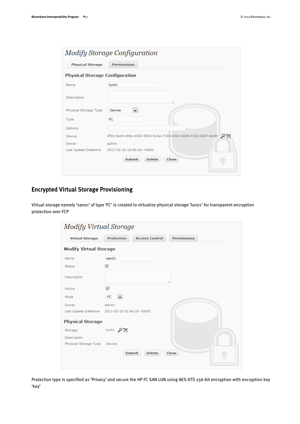| Modify Storage Configuration          |                                                                   |  |  |  |  |
|---------------------------------------|-------------------------------------------------------------------|--|--|--|--|
| <b>Physical Storage</b>               | <b>Permissions</b>                                                |  |  |  |  |
| <b>Physical Storage Configuration</b> |                                                                   |  |  |  |  |
| Name                                  | $l$ un01                                                          |  |  |  |  |
| Description                           | ħ                                                                 |  |  |  |  |
| Physical Storage Type                 | $\blacksquare$<br>Device                                          |  |  |  |  |
| Type                                  | <b>FC</b>                                                         |  |  |  |  |
| Options                               |                                                                   |  |  |  |  |
| Device                                | 4f50-4e46-494c-4500-6834-614a-7168-2d33-4e59-472d-4567-4e36<br>₽₹ |  |  |  |  |
| Owner                                 | admin                                                             |  |  |  |  |
| Last Update Datetime                  | 2011-02-18 18:06:54 +0800                                         |  |  |  |  |
|                                       | <b>Submit</b><br><b>Delete</b><br><b>Close</b>                    |  |  |  |  |

#### <span id="page-16-0"></span>Encrypted Virtual Storage Provisioning

Virtual storage namely 'sano1' of type 'FC' is created to virtualize physical storage 'luno1' for transparent encryption protection over FCP

| <b>Modify Virtual Storage</b> |                           |                                |                    |  |
|-------------------------------|---------------------------|--------------------------------|--------------------|--|
| <b>Virtual Storage</b>        | <b>Protection</b>         | <b>Access Control</b>          | <b>Permissions</b> |  |
| <b>Modify Virtual Storage</b> |                           |                                |                    |  |
| Name                          | san01                     |                                |                    |  |
| <b>Status</b>                 | $\overline{\mathbf{v}}$   |                                |                    |  |
| Description                   |                           |                                | 1,                 |  |
| Active                        | $\overline{\mathcal{F}}$  |                                |                    |  |
| Mode                          | FC<br>$\blacksquare$      |                                |                    |  |
| Owner                         | admin                     |                                |                    |  |
| Last Update Datetime          | 2011-02-19 02:46:25 +0800 |                                |                    |  |
| <b>Physical Storage</b>       |                           |                                |                    |  |
| Storage                       | lun01 $\beta$             |                                |                    |  |
| Description                   |                           |                                |                    |  |
| Physical Storage Type         | Device                    |                                |                    |  |
|                               |                           | <b>Delete</b><br><b>Submit</b> | Close              |  |

Protection type is specified as 'Privacy' and secure the HP FC SAN LUN using AES-XTS 256-bit encryption with encryption key 'key'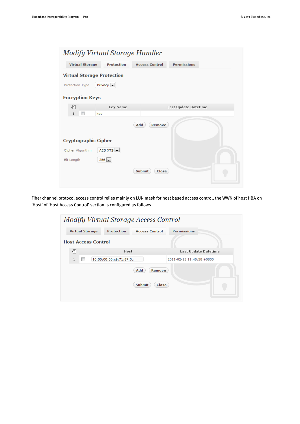| Modify Virtual Storage Handler    |                           |                        |                      |  |  |
|-----------------------------------|---------------------------|------------------------|----------------------|--|--|
| <b>Virtual Storage</b>            | <b>Protection</b>         | <b>Access Control</b>  | <b>Permissions</b>   |  |  |
| <b>Virtual Storage Protection</b> |                           |                        |                      |  |  |
| Protection Type                   | Privacy $\left  \right $  |                        |                      |  |  |
| <b>Encryption Keys</b>            |                           |                        |                      |  |  |
| ₽                                 | Key Name                  |                        | Last Update Datetime |  |  |
| $\mathbf{1}$                      | key                       |                        |                      |  |  |
|                                   |                           | Add<br><b>Remove</b>   |                      |  |  |
| <b>Cryptographic Cipher</b>       |                           |                        |                      |  |  |
| Cipher Algorithm                  | AES XTS $\boxed{\bullet}$ |                        |                      |  |  |
| Bit Length                        | $256$ $\rightarrow$       |                        |                      |  |  |
|                                   |                           | <b>Submit</b><br>Close |                      |  |  |
|                                   |                           |                        |                      |  |  |

Fiber channel protocol access control relies mainly on LUN mask for host based access control, the WWN of host HBA on 'Host' of 'Host Access Control' section is configured as follows

| Modify Virtual Storage Access Control |                            |                       |                           |  |  |  |
|---------------------------------------|----------------------------|-----------------------|---------------------------|--|--|--|
| <b>Virtual Storage</b>                | <b>Protection</b>          | <b>Access Control</b> | <b>Permissions</b>        |  |  |  |
|                                       | <b>Host Access Control</b> |                       |                           |  |  |  |
| ₽                                     | Host                       |                       | Last Update Datetime      |  |  |  |
| $\mathbf{1}$                          | 10:00:00:00:c9:71:87:0c    |                       | 2011-02-15 11:45:58 +0800 |  |  |  |
|                                       | Add<br><b>Remove</b>       |                       |                           |  |  |  |
| <b>Submit</b><br>Close                |                            |                       |                           |  |  |  |
|                                       |                            |                       |                           |  |  |  |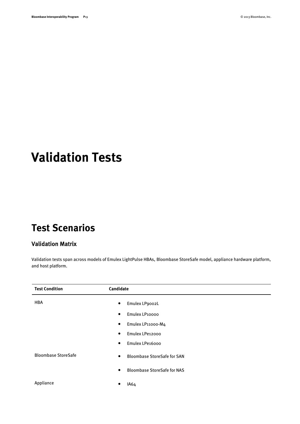# <span id="page-18-0"></span>**Validation Tests**

## <span id="page-18-1"></span>**Test Scenarios**

#### <span id="page-18-2"></span>Validation Matrix

Validation tests span across models of Emulex LightPulse HBAs, Bloombase StoreSafe model, appliance hardware platform, and host platform.

| <b>Test Condition</b>      | Candidate                                       |
|----------------------------|-------------------------------------------------|
| <b>HBA</b>                 | Emulex LP9002L<br>$\bullet$                     |
|                            | Emulex LP10000<br>$\bullet$                     |
|                            | Emulex LP11000-M4<br>$\bullet$                  |
|                            | Emulex LPe12000<br>$\bullet$                    |
|                            | Emulex LPe16000<br>$\bullet$                    |
| <b>Bloombase StoreSafe</b> | <b>Bloombase StoreSafe for SAN</b><br>$\bullet$ |
|                            | <b>Bloombase StoreSafe for NAS</b><br>$\bullet$ |
| Appliance                  | IA64<br>٠                                       |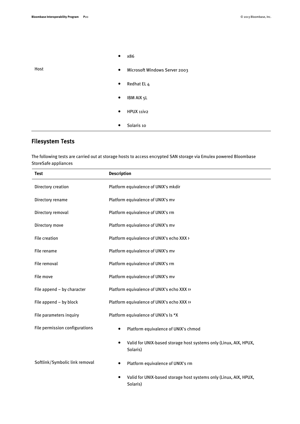٠

|      | x86<br>$\bullet$                           |
|------|--------------------------------------------|
| Host | Microsoft Windows Server 2003<br>$\bullet$ |
|      | Redhat EL 4<br>$\bullet$                   |
|      | IBM AIX 5L<br>$\bullet$                    |
|      | HPUX 11iv2<br>$\bullet$                    |
|      | Solaris 10<br>$\bullet$                    |

#### <span id="page-19-0"></span>Filesystem Tests

The following tests are carried out at storage hosts to access encrypted SAN storage via Emulex powered Bloombase StoreSafe appliances

| Test                           | <b>Description</b>                                                                         |  |  |  |
|--------------------------------|--------------------------------------------------------------------------------------------|--|--|--|
| Directory creation             | Platform equivalence of UNIX's mkdir                                                       |  |  |  |
| Directory rename               | Platform equivalence of UNIX's mv                                                          |  |  |  |
| Directory removal              | Platform equivalence of UNIX's rm                                                          |  |  |  |
| Directory move                 | Platform equivalence of UNIX's mv                                                          |  |  |  |
| <b>File creation</b>           | Platform equivalence of UNIX's echo XXX >                                                  |  |  |  |
| File rename                    | Platform equivalence of UNIX's mv                                                          |  |  |  |
| File removal                   | Platform equivalence of UNIX's rm                                                          |  |  |  |
| File move                      | Platform equivalence of UNIX's mv                                                          |  |  |  |
| File append - by character     | Platform equivalence of UNIX's echo XXX >>                                                 |  |  |  |
| File append - by block         | Platform equivalence of UNIX's echo XXX >>                                                 |  |  |  |
| File parameters inquiry        | Platform equivalence of UNIX's ls *X                                                       |  |  |  |
| File permission configurations | Platform equivalence of UNIX's chmod<br>$\bullet$                                          |  |  |  |
|                                | Valid for UNIX-based storage host systems only (Linux, AIX, HPUX,<br>$\bullet$<br>Solaris) |  |  |  |
| Softlink/Symbolic link removal | Platform equivalence of UNIX's rm<br>$\bullet$                                             |  |  |  |
|                                | Valid for UNIX-based storage host systems only (Linux, AIX, HPUX,<br>Solaris)              |  |  |  |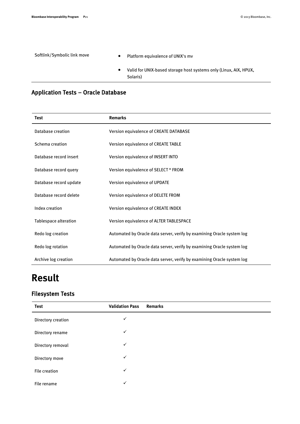| Softlink/Symbolic link move |           | Platform equivalence of UNIX's mv                                             |
|-----------------------------|-----------|-------------------------------------------------------------------------------|
|                             | $\bullet$ | Valid for UNIX-based storage host systems only (Linux, AIX, HPUX,<br>Solaris) |

#### <span id="page-20-0"></span>Application Tests – Oracle Database

| Test                         | <b>Remarks</b>                                                         |  |  |
|------------------------------|------------------------------------------------------------------------|--|--|
| Database creation            | Version equivalence of CREATE DATABASE                                 |  |  |
| Schema creation              | Version equivalence of CREATE TABLE                                    |  |  |
| Database record insert       | Version equivalence of INSERT INTO                                     |  |  |
| Database record query        | Version equivalence of SELECT * FROM                                   |  |  |
| Database record update       | Version equivalence of UPDATE                                          |  |  |
| Database record delete       | Version equivalence of DELETE FROM                                     |  |  |
| Index creation               | Version equivalence of CREATE INDEX                                    |  |  |
| <b>Tablespace alteration</b> | Version equivalence of ALTER TABLESPACE                                |  |  |
| Redo log creation            | Automated by Oracle data server, verify by examining Oracle system log |  |  |
| Redo log rotation            | Automated by Oracle data server, verify by examining Oracle system log |  |  |
| Archive log creation         | Automated by Oracle data server, verify by examining Oracle system log |  |  |

# <span id="page-20-1"></span>**Result**

#### <span id="page-20-2"></span>Filesystem Tests

| <b>Test</b>        | <b>Validation Pass</b> | <b>Remarks</b> |
|--------------------|------------------------|----------------|
| Directory creation | $\checkmark$           |                |
| Directory rename   | $\checkmark$           |                |
| Directory removal  | $\checkmark$           |                |
| Directory move     | $\checkmark$           |                |
| File creation      | $\checkmark$           |                |
| File rename        | $\checkmark$           |                |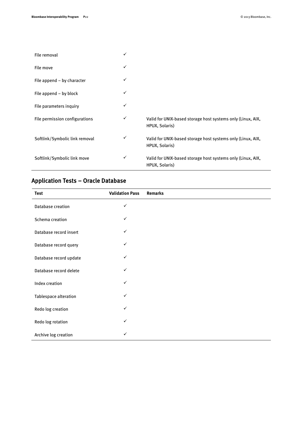| File removal                   | $\checkmark$ |                                                                               |
|--------------------------------|--------------|-------------------------------------------------------------------------------|
| File move                      | ✓            |                                                                               |
| File append - by character     | ✓            |                                                                               |
| File append $-$ by block       | ✓            |                                                                               |
| File parameters inquiry        | ✓            |                                                                               |
| File permission configurations | ✓            | Valid for UNIX-based storage host systems only (Linux, AIX,<br>HPUX, Solaris) |
| Softlink/Symbolic link removal | ✓            | Valid for UNIX-based storage host systems only (Linux, AIX,<br>HPUX, Solaris) |
| Softlink/Symbolic link move    | $\checkmark$ | Valid for UNIX-based storage host systems only (Linux, AIX,<br>HPUX, Solaris) |

#### <span id="page-21-0"></span>Application Tests – Oracle Database

| <b>Test</b>              | <b>Validation Pass</b> | <b>Remarks</b> |
|--------------------------|------------------------|----------------|
| <b>Database creation</b> | $\checkmark$           |                |
| Schema creation          | $\checkmark$           |                |
| Database record insert   | $\checkmark$           |                |
| Database record query    | $\checkmark$           |                |
| Database record update   | ✓                      |                |
| Database record delete   | ✓                      |                |
| Index creation           | $\checkmark$           |                |
| Tablespace alteration    | $\checkmark$           |                |
| Redo log creation        | $\checkmark$           |                |
| Redo log rotation        | ✓                      |                |
| Archive log creation     | ✓                      |                |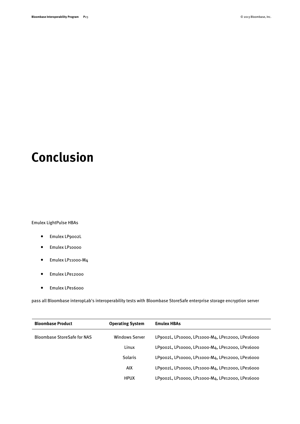# <span id="page-22-0"></span>**Conclusion**

Emulex LightPulse HBAs

- Emulex LP9002L
- Emulex LP10000
- Emulex LP11000-M4
- Emulex LPe12000
- Emulex LPe16000

pass all Bloombase interopLab's interoperability tests with Bloombase StoreSafe enterprise storage encryption server

| <b>Bloombase Product</b>           | <b>Operating System</b> | <b>Emulex HBAs</b>                               |
|------------------------------------|-------------------------|--------------------------------------------------|
| <b>Bloombase StoreSafe for NAS</b> | <b>Windows Server</b>   | LP9002L, LP10000, LP11000-M4, LPe12000, LPe16000 |
|                                    | Linux                   | LP9002L, LP10000, LP11000-M4, LPe12000, LPe16000 |
|                                    | <b>Solaris</b>          | LP9002L, LP10000, LP11000-M4, LPe12000, LPe16000 |
|                                    | AIX                     | LP9002L, LP10000, LP11000-M4, LPe12000, LPe16000 |
|                                    | <b>HPUX</b>             | LP9002L, LP10000, LP11000-M4, LPe12000, LPe16000 |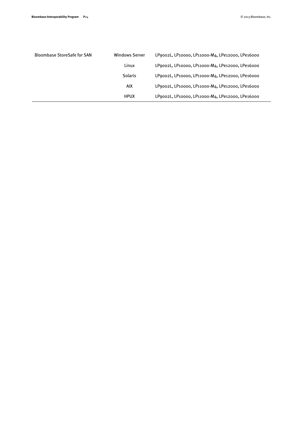| <b>Bloombase StoreSafe for SAN</b> | <b>Windows Server</b> | LP9002L, LP10000, LP11000-M4, LPe12000, LPe16000 |
|------------------------------------|-----------------------|--------------------------------------------------|
|                                    | Linux                 | LP9002L, LP10000, LP11000-M4, LPe12000, LPe16000 |
|                                    | <b>Solaris</b>        | LP9002L, LP10000, LP11000-M4, LPe12000, LPe16000 |
|                                    | AIX                   | LP9002L, LP10000, LP11000-M4, LPe12000, LPe16000 |
|                                    | <b>HPUX</b>           | LP9002L, LP10000, LP11000-M4, LPe12000, LPe16000 |
|                                    |                       |                                                  |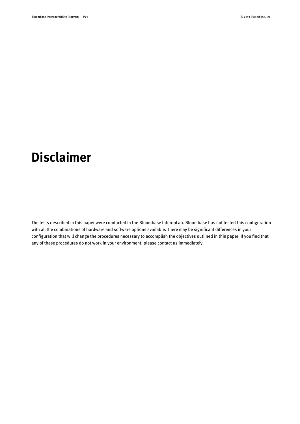# <span id="page-24-0"></span>**Disclaimer**

The tests described in this paper were conducted in the Bloombase InteropLab. Bloombase has not tested this configuration with all the combinations of hardware and software options available. There may be significant differences in your configuration that will change the procedures necessary to accomplish the objectives outlined in this paper. If you find that any of these procedures do not work in your environment, please contact us immediately.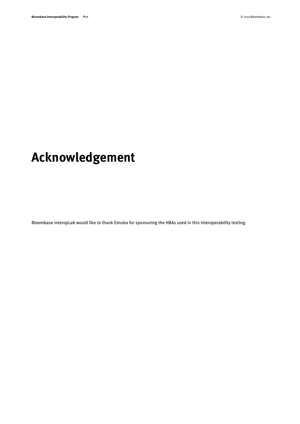# <span id="page-25-0"></span>**Acknowledgement**

Bloombase interopLab would like to thank Emulex for sponsoring the HBAs used in this interoperability testing.